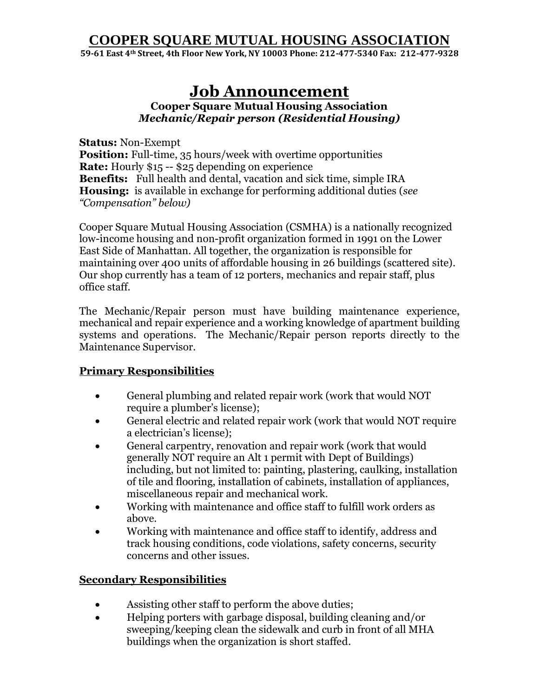## **COOPER SQUARE MUTUAL HOUSING ASSOCIATION**

**59-61 East 4th Street, 4th Floor New York, NY 10003 Phone: 212-477-5340 Fax: 212-477-9328**

# **Job Announcement**

**Cooper Square Mutual Housing Association**  *Mechanic/Repair person (Residential Housing)*

**Status:** Non-Exempt **Position:** Full-time, 35 hours/week with overtime opportunities **Rate:** Hourly \$15 -- \$25 depending on experience **Benefits:** Full health and dental, vacation and sick time, simple IRA **Housing:** is available in exchange for performing additional duties (*see "Compensation" below)*

Cooper Square Mutual Housing Association (CSMHA) is a nationally recognized low-income housing and non-profit organization formed in 1991 on the Lower East Side of Manhattan. All together, the organization is responsible for maintaining over 400 units of affordable housing in 26 buildings (scattered site). Our shop currently has a team of 12 porters, mechanics and repair staff, plus office staff.

The Mechanic/Repair person must have building maintenance experience, mechanical and repair experience and a working knowledge of apartment building systems and operations. The Mechanic/Repair person reports directly to the Maintenance Supervisor.

#### **Primary Responsibilities**

- General plumbing and related repair work (work that would NOT require a plumber's license);
- General electric and related repair work (work that would NOT require a electrician's license);
- General carpentry, renovation and repair work (work that would generally NOT require an Alt 1 permit with Dept of Buildings) including, but not limited to: painting, plastering, caulking, installation of tile and flooring, installation of cabinets, installation of appliances, miscellaneous repair and mechanical work.
- Working with maintenance and office staff to fulfill work orders as above.
- Working with maintenance and office staff to identify, address and track housing conditions, code violations, safety concerns, security concerns and other issues.

#### **Secondary Responsibilities**

- Assisting other staff to perform the above duties;
- Helping porters with garbage disposal, building cleaning and/or sweeping/keeping clean the sidewalk and curb in front of all MHA buildings when the organization is short staffed.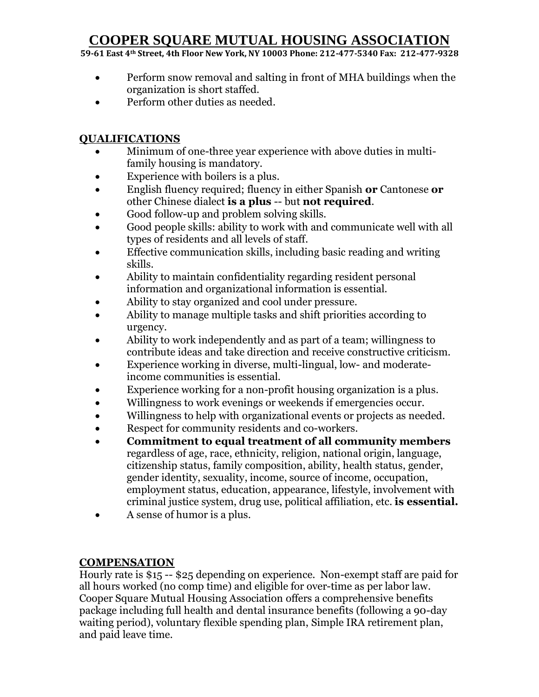## **COOPER SQUARE MUTUAL HOUSING ASSOCIATION**

**59-61 East 4th Street, 4th Floor New York, NY 10003 Phone: 212-477-5340 Fax: 212-477-9328**

- Perform snow removal and salting in front of MHA buildings when the organization is short staffed.
- Perform other duties as needed.

### **QUALIFICATIONS**

- Minimum of one-three year experience with above duties in multifamily housing is mandatory.
- Experience with boilers is a plus.
- English fluency required; fluency in either Spanish **or** Cantonese **or** other Chinese dialect **is a plus** -- but **not required**.
- Good follow-up and problem solving skills.
- Good people skills: ability to work with and communicate well with all types of residents and all levels of staff.
- Effective communication skills, including basic reading and writing skills.
- Ability to maintain confidentiality regarding resident personal information and organizational information is essential.
- Ability to stay organized and cool under pressure.
- Ability to manage multiple tasks and shift priorities according to urgency.
- Ability to work independently and as part of a team; willingness to contribute ideas and take direction and receive constructive criticism.
- Experience working in diverse, multi-lingual, low- and moderateincome communities is essential.
- Experience working for a non-profit housing organization is a plus.
- Willingness to work evenings or weekends if emergencies occur.
- Willingness to help with organizational events or projects as needed.
- Respect for community residents and co-workers.
- **Commitment to equal treatment of all community members** regardless of age, race, ethnicity, religion, national origin, language, citizenship status, family composition, ability, health status, gender, gender identity, sexuality, income, source of income, occupation, employment status, education, appearance, lifestyle, involvement with criminal justice system, drug use, political affiliation, etc. **is essential.**
- A sense of humor is a plus.

### **COMPENSATION**

Hourly rate is \$15 -- \$25 depending on experience. Non-exempt staff are paid for all hours worked (no comp time) and eligible for over-time as per labor law. Cooper Square Mutual Housing Association offers a comprehensive benefits package including full health and dental insurance benefits (following a 90-day waiting period), voluntary flexible spending plan, Simple IRA retirement plan, and paid leave time.